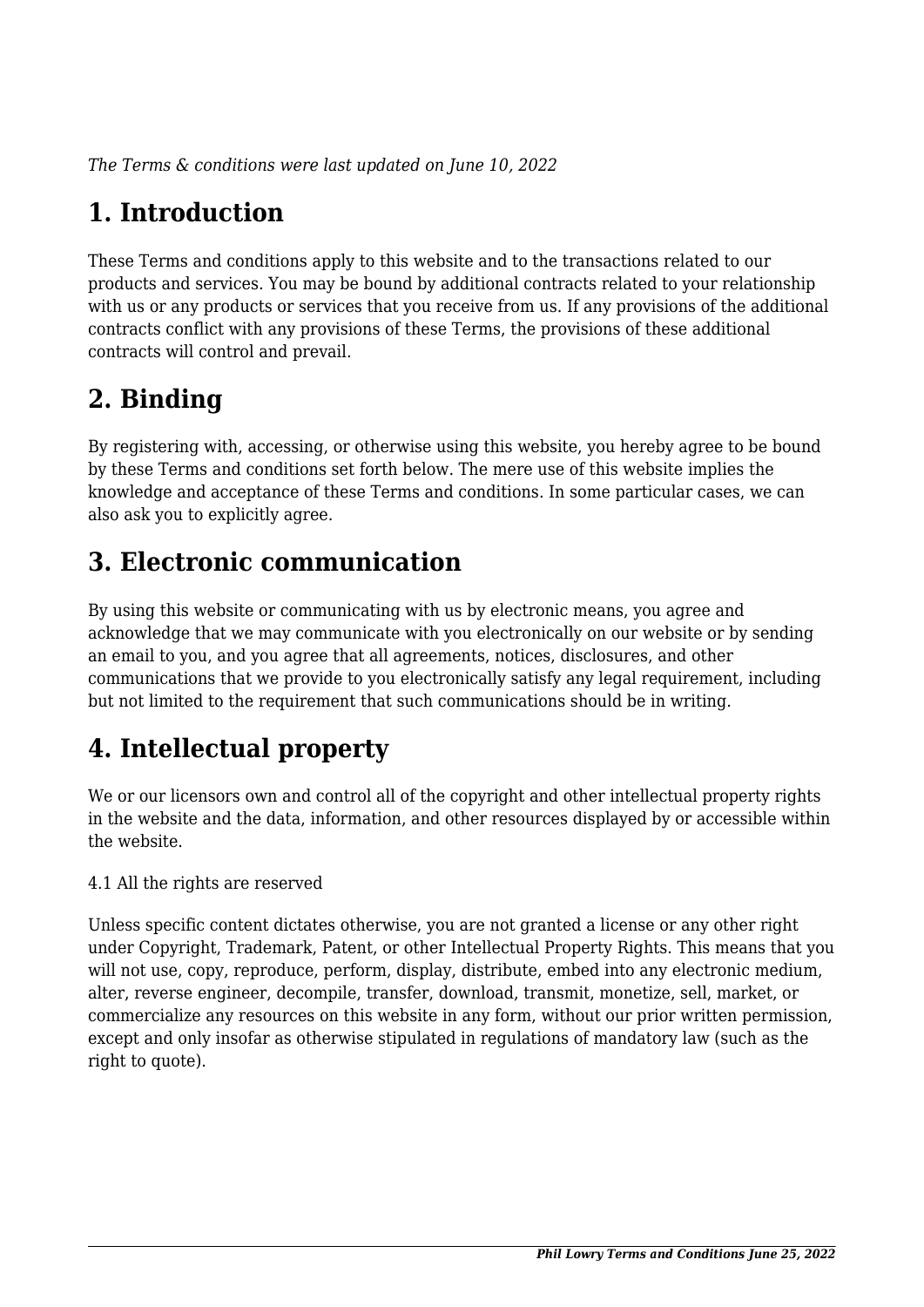*The Terms & conditions were last updated on June 10, 2022*

# **1. Introduction**

These Terms and conditions apply to this website and to the transactions related to our products and services. You may be bound by additional contracts related to your relationship with us or any products or services that you receive from us. If any provisions of the additional contracts conflict with any provisions of these Terms, the provisions of these additional contracts will control and prevail.

# **2. Binding**

By registering with, accessing, or otherwise using this website, you hereby agree to be bound by these Terms and conditions set forth below. The mere use of this website implies the knowledge and acceptance of these Terms and conditions. In some particular cases, we can also ask you to explicitly agree.

# **3. Electronic communication**

By using this website or communicating with us by electronic means, you agree and acknowledge that we may communicate with you electronically on our website or by sending an email to you, and you agree that all agreements, notices, disclosures, and other communications that we provide to you electronically satisfy any legal requirement, including but not limited to the requirement that such communications should be in writing.

# **4. Intellectual property**

We or our licensors own and control all of the copyright and other intellectual property rights in the website and the data, information, and other resources displayed by or accessible within the website.

4.1 All the rights are reserved

Unless specific content dictates otherwise, you are not granted a license or any other right under Copyright, Trademark, Patent, or other Intellectual Property Rights. This means that you will not use, copy, reproduce, perform, display, distribute, embed into any electronic medium, alter, reverse engineer, decompile, transfer, download, transmit, monetize, sell, market, or commercialize any resources on this website in any form, without our prior written permission, except and only insofar as otherwise stipulated in regulations of mandatory law (such as the right to quote).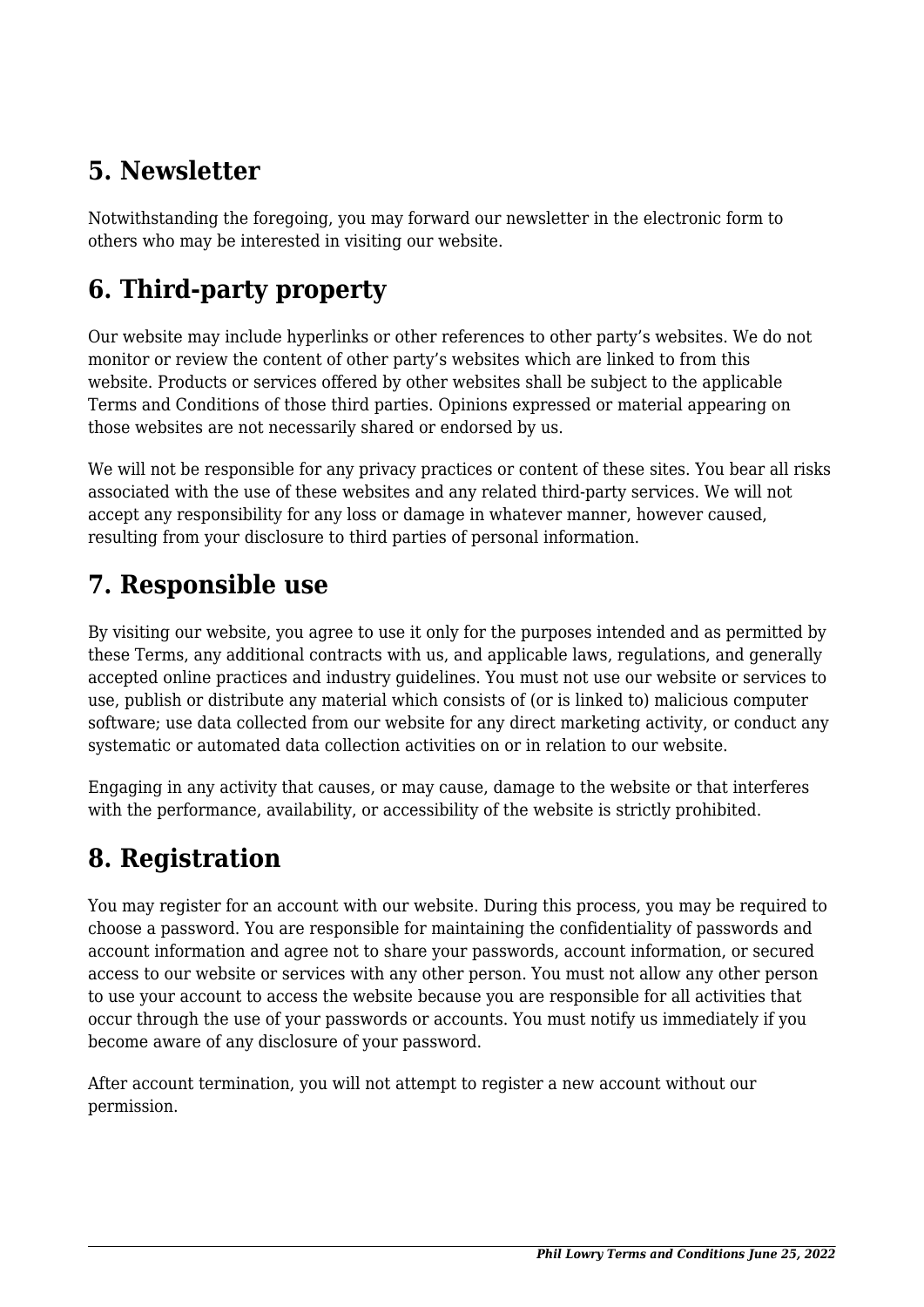# **5. Newsletter**

Notwithstanding the foregoing, you may forward our newsletter in the electronic form to others who may be interested in visiting our website.

# **6. Third-party property**

Our website may include hyperlinks or other references to other party's websites. We do not monitor or review the content of other party's websites which are linked to from this website. Products or services offered by other websites shall be subject to the applicable Terms and Conditions of those third parties. Opinions expressed or material appearing on those websites are not necessarily shared or endorsed by us.

We will not be responsible for any privacy practices or content of these sites. You bear all risks associated with the use of these websites and any related third-party services. We will not accept any responsibility for any loss or damage in whatever manner, however caused, resulting from your disclosure to third parties of personal information.

## **7. Responsible use**

By visiting our website, you agree to use it only for the purposes intended and as permitted by these Terms, any additional contracts with us, and applicable laws, regulations, and generally accepted online practices and industry guidelines. You must not use our website or services to use, publish or distribute any material which consists of (or is linked to) malicious computer software; use data collected from our website for any direct marketing activity, or conduct any systematic or automated data collection activities on or in relation to our website.

Engaging in any activity that causes, or may cause, damage to the website or that interferes with the performance, availability, or accessibility of the website is strictly prohibited.

# **8. Registration**

You may register for an account with our website. During this process, you may be required to choose a password. You are responsible for maintaining the confidentiality of passwords and account information and agree not to share your passwords, account information, or secured access to our website or services with any other person. You must not allow any other person to use your account to access the website because you are responsible for all activities that occur through the use of your passwords or accounts. You must notify us immediately if you become aware of any disclosure of your password.

After account termination, you will not attempt to register a new account without our permission.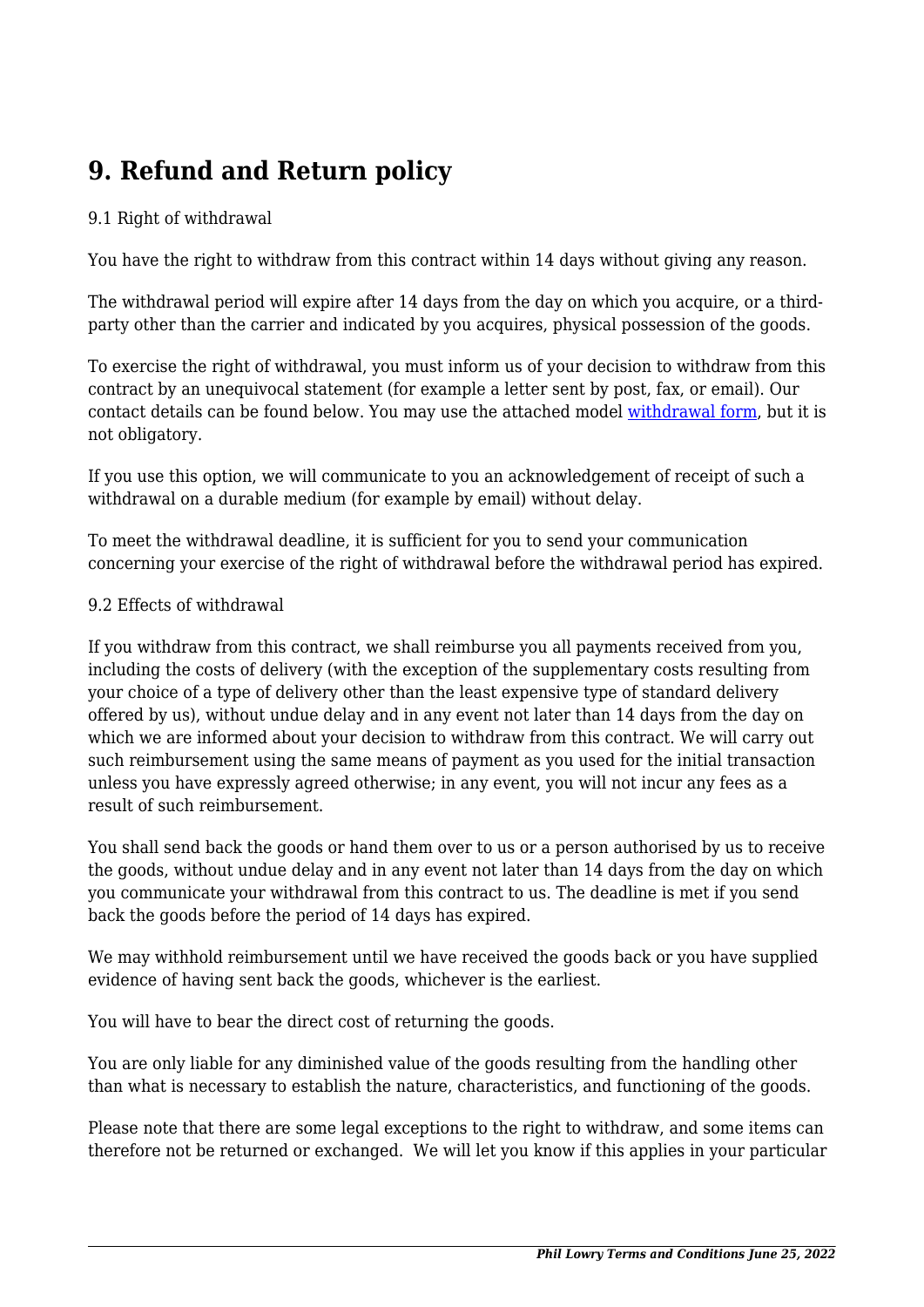# **9. Refund and Return policy**

#### 9.1 Right of withdrawal

You have the right to withdraw from this contract within 14 days without giving any reason.

The withdrawal period will expire after 14 days from the day on which you acquire, or a thirdparty other than the carrier and indicated by you acquires, physical possession of the goods.

To exercise the right of withdrawal, you must inform us of your decision to withdraw from this contract by an unequivocal statement (for example a letter sent by post, fax, or email). Our contact details can be found below. You may use the attached model [withdrawal form](https://phillowry.net/wp-content/uploads/complianz/withdrawal-forms/withdrawal-form-en.pdf), but it is not obligatory.

If you use this option, we will communicate to you an acknowledgement of receipt of such a withdrawal on a durable medium (for example by email) without delay.

To meet the withdrawal deadline, it is sufficient for you to send your communication concerning your exercise of the right of withdrawal before the withdrawal period has expired.

#### 9.2 Effects of withdrawal

If you withdraw from this contract, we shall reimburse you all payments received from you, including the costs of delivery (with the exception of the supplementary costs resulting from your choice of a type of delivery other than the least expensive type of standard delivery offered by us), without undue delay and in any event not later than 14 days from the day on which we are informed about your decision to withdraw from this contract. We will carry out such reimbursement using the same means of payment as you used for the initial transaction unless you have expressly agreed otherwise; in any event, you will not incur any fees as a result of such reimbursement.

You shall send back the goods or hand them over to us or a person authorised by us to receive the goods, without undue delay and in any event not later than 14 days from the day on which you communicate your withdrawal from this contract to us. The deadline is met if you send back the goods before the period of 14 days has expired.

We may withhold reimbursement until we have received the goods back or you have supplied evidence of having sent back the goods, whichever is the earliest.

You will have to bear the direct cost of returning the goods.

You are only liable for any diminished value of the goods resulting from the handling other than what is necessary to establish the nature, characteristics, and functioning of the goods.

Please note that there are some legal exceptions to the right to withdraw, and some items can therefore not be returned or exchanged. We will let you know if this applies in your particular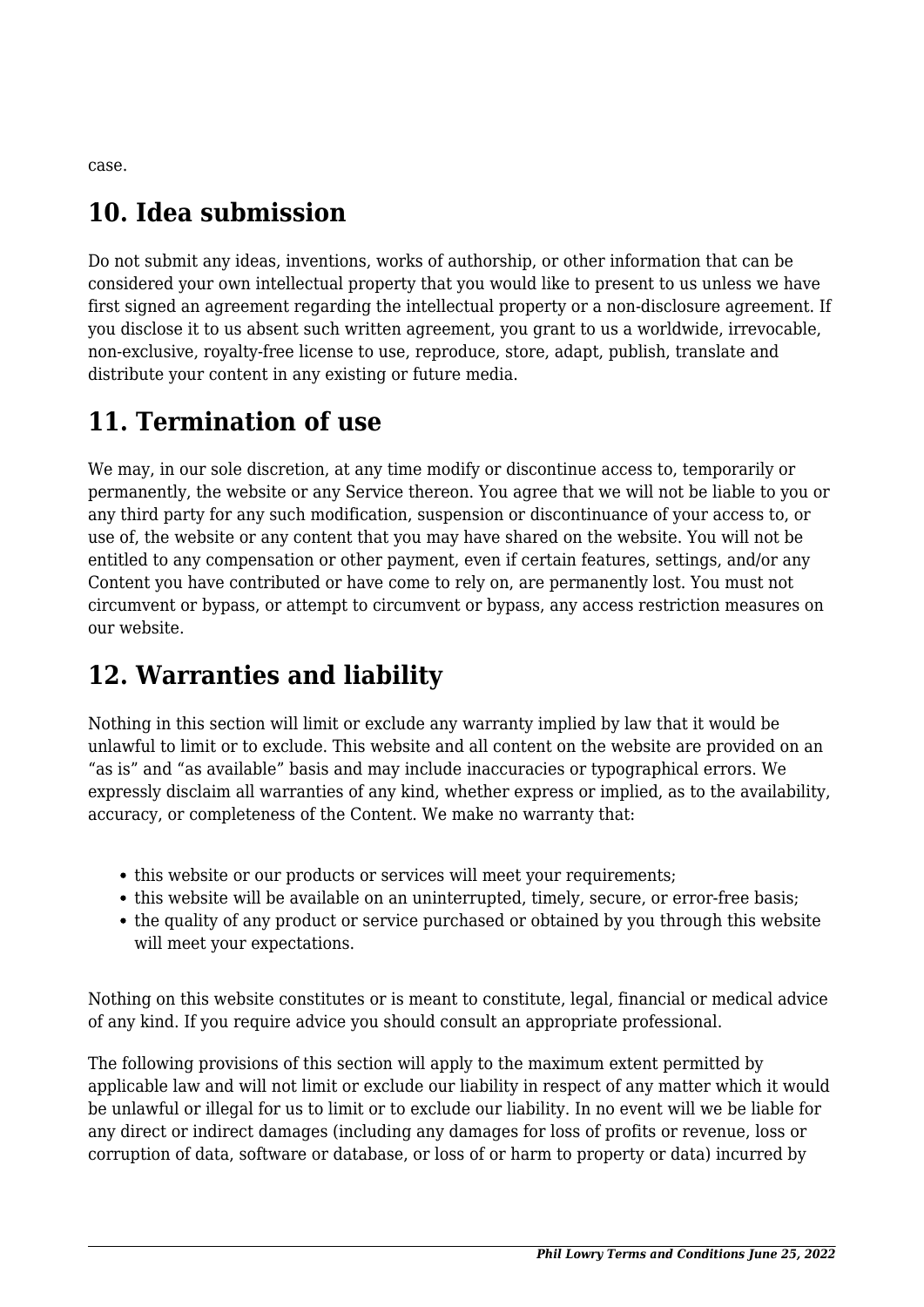case.

# **10. Idea submission**

Do not submit any ideas, inventions, works of authorship, or other information that can be considered your own intellectual property that you would like to present to us unless we have first signed an agreement regarding the intellectual property or a non-disclosure agreement. If you disclose it to us absent such written agreement, you grant to us a worldwide, irrevocable, non-exclusive, royalty-free license to use, reproduce, store, adapt, publish, translate and distribute your content in any existing or future media.

## **11. Termination of use**

We may, in our sole discretion, at any time modify or discontinue access to, temporarily or permanently, the website or any Service thereon. You agree that we will not be liable to you or any third party for any such modification, suspension or discontinuance of your access to, or use of, the website or any content that you may have shared on the website. You will not be entitled to any compensation or other payment, even if certain features, settings, and/or any Content you have contributed or have come to rely on, are permanently lost. You must not circumvent or bypass, or attempt to circumvent or bypass, any access restriction measures on our website.

# **12. Warranties and liability**

Nothing in this section will limit or exclude any warranty implied by law that it would be unlawful to limit or to exclude. This website and all content on the website are provided on an "as is" and "as available" basis and may include inaccuracies or typographical errors. We expressly disclaim all warranties of any kind, whether express or implied, as to the availability, accuracy, or completeness of the Content. We make no warranty that:

- this website or our products or services will meet your requirements;
- this website will be available on an uninterrupted, timely, secure, or error-free basis;
- the quality of any product or service purchased or obtained by you through this website will meet your expectations.

Nothing on this website constitutes or is meant to constitute, legal, financial or medical advice of any kind. If you require advice you should consult an appropriate professional.

The following provisions of this section will apply to the maximum extent permitted by applicable law and will not limit or exclude our liability in respect of any matter which it would be unlawful or illegal for us to limit or to exclude our liability. In no event will we be liable for any direct or indirect damages (including any damages for loss of profits or revenue, loss or corruption of data, software or database, or loss of or harm to property or data) incurred by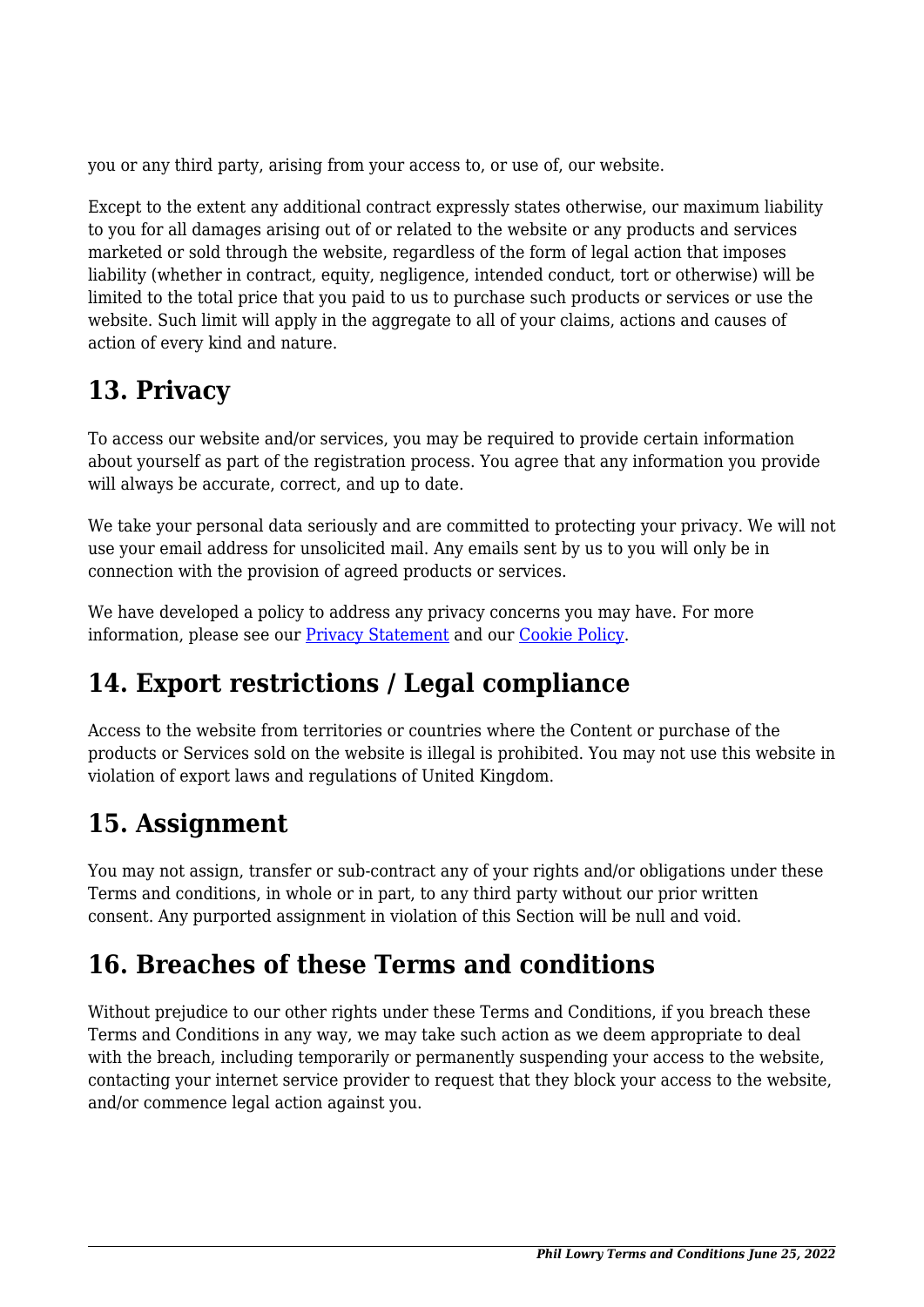you or any third party, arising from your access to, or use of, our website.

Except to the extent any additional contract expressly states otherwise, our maximum liability to you for all damages arising out of or related to the website or any products and services marketed or sold through the website, regardless of the form of legal action that imposes liability (whether in contract, equity, negligence, intended conduct, tort or otherwise) will be limited to the total price that you paid to us to purchase such products or services or use the website. Such limit will apply in the aggregate to all of your claims, actions and causes of action of every kind and nature.

### **13. Privacy**

To access our website and/or services, you may be required to provide certain information about yourself as part of the registration process. You agree that any information you provide will always be accurate, correct, and up to date.

We take your personal data seriously and are committed to protecting your privacy. We will not use your email address for unsolicited mail. Any emails sent by us to you will only be in connection with the provision of agreed products or services.

We have developed a policy to address any privacy concerns you may have. For more information, please see our **Privacy Statement** and our **[Cookie Policy](https://phillowry.net/privacy-policy/)**.

## **14. Export restrictions / Legal compliance**

Access to the website from territories or countries where the Content or purchase of the products or Services sold on the website is illegal is prohibited. You may not use this website in violation of export laws and regulations of United Kingdom.

## **15. Assignment**

You may not assign, transfer or sub-contract any of your rights and/or obligations under these Terms and conditions, in whole or in part, to any third party without our prior written consent. Any purported assignment in violation of this Section will be null and void.

## **16. Breaches of these Terms and conditions**

Without prejudice to our other rights under these Terms and Conditions, if you breach these Terms and Conditions in any way, we may take such action as we deem appropriate to deal with the breach, including temporarily or permanently suspending your access to the website, contacting your internet service provider to request that they block your access to the website, and/or commence legal action against you.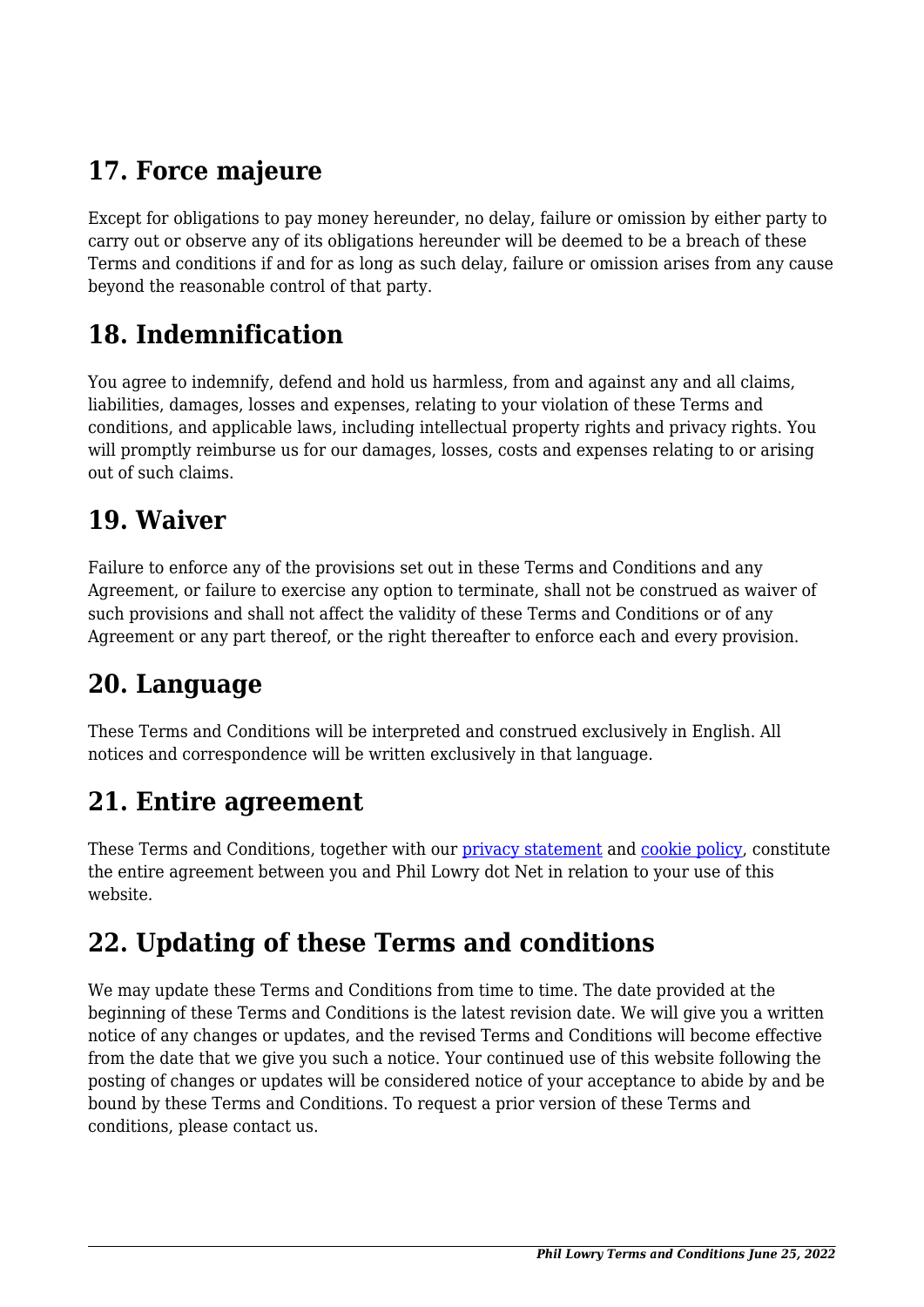# **17. Force majeure**

Except for obligations to pay money hereunder, no delay, failure or omission by either party to carry out or observe any of its obligations hereunder will be deemed to be a breach of these Terms and conditions if and for as long as such delay, failure or omission arises from any cause beyond the reasonable control of that party.

## **18. Indemnification**

You agree to indemnify, defend and hold us harmless, from and against any and all claims, liabilities, damages, losses and expenses, relating to your violation of these Terms and conditions, and applicable laws, including intellectual property rights and privacy rights. You will promptly reimburse us for our damages, losses, costs and expenses relating to or arising out of such claims.

#### **19. Waiver**

Failure to enforce any of the provisions set out in these Terms and Conditions and any Agreement, or failure to exercise any option to terminate, shall not be construed as waiver of such provisions and shall not affect the validity of these Terms and Conditions or of any Agreement or any part thereof, or the right thereafter to enforce each and every provision.

## **20. Language**

These Terms and Conditions will be interpreted and construed exclusively in English. All notices and correspondence will be written exclusively in that language.

### **21. Entire agreement**

These Terms and Conditions, together with our [privacy statement](https://phillowry.net/privacy-policy/) and [cookie policy,](https://phillowry.net/privacy-policy/) constitute the entire agreement between you and Phil Lowry dot Net in relation to your use of this website.

## **22. Updating of these Terms and conditions**

We may update these Terms and Conditions from time to time. The date provided at the beginning of these Terms and Conditions is the latest revision date. We will give you a written notice of any changes or updates, and the revised Terms and Conditions will become effective from the date that we give you such a notice. Your continued use of this website following the posting of changes or updates will be considered notice of your acceptance to abide by and be bound by these Terms and Conditions. To request a prior version of these Terms and conditions, please contact us.